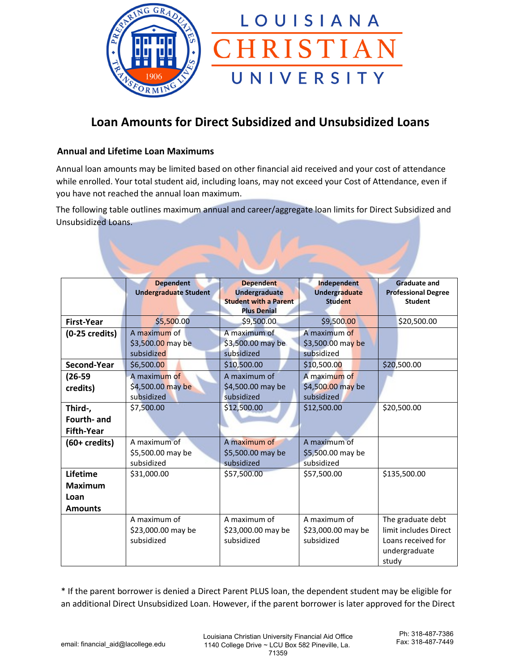

# **Loan Amounts for Direct Subsidized and Unsubsidized Loans**

### **Annual and Lifetime Loan Maximums**

Annual loan amounts may be limited based on other financial aid received and your cost of attendance while enrolled. Your total student aid, including loans, may not exceed your Cost of Attendance, even if you have not reached the annual loan maximum.

The following table outlines maximum annual and career/aggregate loan limits for Direct Subsidized and Unsubsidized Loans.

| <b>Dependent</b><br><b>Dependent</b><br>Independent<br><b>Graduate and</b><br><b>Undergraduate</b><br><b>Undergraduate Student</b><br><b>Undergraduate</b><br><b>Professional Degree</b><br><b>Student with a Parent</b><br><b>Student</b><br><b>Student</b><br><b>Plus Denial</b><br><b>First-Year</b><br>\$5,500.00<br>\$9,500.00<br>\$9,500.00<br>\$20,500.00<br>A maximum of<br>A maximum of<br>A maximum of<br>$(0-25 \text{ credits})$<br>\$3,500.00 may be<br>\$3,500.00 may be<br>\$3,500.00 may be<br>subsidized<br>subsidized<br>subsidized<br>Second-Year<br>\$6,500.00<br>\$10,500.00<br>\$10,500.00<br>\$20,500.00<br>A maximum of<br>A maximum of<br>A maximum of<br>$(26-59)$<br>\$4,500.00 may be<br>\$4,500.00 may be<br>\$4,500.00 may be<br>credits) |
|-------------------------------------------------------------------------------------------------------------------------------------------------------------------------------------------------------------------------------------------------------------------------------------------------------------------------------------------------------------------------------------------------------------------------------------------------------------------------------------------------------------------------------------------------------------------------------------------------------------------------------------------------------------------------------------------------------------------------------------------------------------------------|
|                                                                                                                                                                                                                                                                                                                                                                                                                                                                                                                                                                                                                                                                                                                                                                         |
|                                                                                                                                                                                                                                                                                                                                                                                                                                                                                                                                                                                                                                                                                                                                                                         |
|                                                                                                                                                                                                                                                                                                                                                                                                                                                                                                                                                                                                                                                                                                                                                                         |
|                                                                                                                                                                                                                                                                                                                                                                                                                                                                                                                                                                                                                                                                                                                                                                         |
|                                                                                                                                                                                                                                                                                                                                                                                                                                                                                                                                                                                                                                                                                                                                                                         |
|                                                                                                                                                                                                                                                                                                                                                                                                                                                                                                                                                                                                                                                                                                                                                                         |
|                                                                                                                                                                                                                                                                                                                                                                                                                                                                                                                                                                                                                                                                                                                                                                         |
|                                                                                                                                                                                                                                                                                                                                                                                                                                                                                                                                                                                                                                                                                                                                                                         |
|                                                                                                                                                                                                                                                                                                                                                                                                                                                                                                                                                                                                                                                                                                                                                                         |
|                                                                                                                                                                                                                                                                                                                                                                                                                                                                                                                                                                                                                                                                                                                                                                         |
|                                                                                                                                                                                                                                                                                                                                                                                                                                                                                                                                                                                                                                                                                                                                                                         |
| subsidized<br>subsidized<br>subsidized                                                                                                                                                                                                                                                                                                                                                                                                                                                                                                                                                                                                                                                                                                                                  |
| \$12,500.00<br>\$20,500.00<br>\$7,500.00<br>\$12,500.00<br>Third-,                                                                                                                                                                                                                                                                                                                                                                                                                                                                                                                                                                                                                                                                                                      |
| Fourth- and                                                                                                                                                                                                                                                                                                                                                                                                                                                                                                                                                                                                                                                                                                                                                             |
| <b>Fifth-Year</b>                                                                                                                                                                                                                                                                                                                                                                                                                                                                                                                                                                                                                                                                                                                                                       |
| A maximum of<br>A maximum of<br>A maximum of<br>$(60 + \text{credits})$                                                                                                                                                                                                                                                                                                                                                                                                                                                                                                                                                                                                                                                                                                 |
| \$5,500.00 may be<br>\$5,500.00 may be<br>\$5,500.00 may be                                                                                                                                                                                                                                                                                                                                                                                                                                                                                                                                                                                                                                                                                                             |
| subsidized<br>subsidized<br>subsidized                                                                                                                                                                                                                                                                                                                                                                                                                                                                                                                                                                                                                                                                                                                                  |
| Lifetime<br>\$135,500.00<br>\$31,000.00<br>\$57,500.00<br>\$57,500.00                                                                                                                                                                                                                                                                                                                                                                                                                                                                                                                                                                                                                                                                                                   |
| <b>Maximum</b>                                                                                                                                                                                                                                                                                                                                                                                                                                                                                                                                                                                                                                                                                                                                                          |
| Loan                                                                                                                                                                                                                                                                                                                                                                                                                                                                                                                                                                                                                                                                                                                                                                    |
| <b>Amounts</b>                                                                                                                                                                                                                                                                                                                                                                                                                                                                                                                                                                                                                                                                                                                                                          |
| A maximum of<br>A maximum of<br>A maximum of<br>The graduate debt                                                                                                                                                                                                                                                                                                                                                                                                                                                                                                                                                                                                                                                                                                       |
| limit includes Direct<br>\$23,000.00 may be<br>\$23,000.00 may be<br>\$23,000.00 may be                                                                                                                                                                                                                                                                                                                                                                                                                                                                                                                                                                                                                                                                                 |
| subsidized<br>subsidized<br>subsidized<br>Loans received for                                                                                                                                                                                                                                                                                                                                                                                                                                                                                                                                                                                                                                                                                                            |
| undergraduate                                                                                                                                                                                                                                                                                                                                                                                                                                                                                                                                                                                                                                                                                                                                                           |
| study                                                                                                                                                                                                                                                                                                                                                                                                                                                                                                                                                                                                                                                                                                                                                                   |

\* If the parent borrower is denied a Direct Parent PLUS loan, the dependent student may be eligible for an additional Direct Unsubsidized Loan. However, if the parent borrower is later approved for the Direct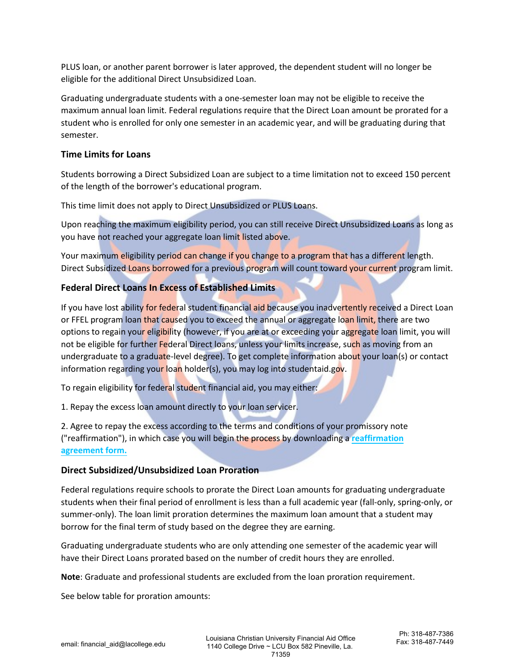PLUS loan, or another parent borrower is later approved, the dependent student will no longer be eligible for the additional Direct Unsubsidized Loan.

Graduating undergraduate students with a one-semester loan may not be eligible to receive the maximum annual loan limit. Federal regulations require that the Direct Loan amount be prorated for a student who is enrolled for only one semester in an academic year, and will be graduating during that semester.

#### **Time Limits for Loans**

Students borrowing a Direct Subsidized Loan are subject to a time limitation not to exceed 150 percent of the length of the borrower's educational program.

This time limit does not apply to Direct Unsubsidized or PLUS Loans.

Upon reaching the maximum eligibility period, you can still receive Direct Unsubsidized Loans as long as you have not reached your aggregate loan limit listed above.

Your maximum eligibility period can change if you change to a program that has a different length. Direct Subsidized Loans borrowed for a previous program will count toward your current program limit.

## **Federal Direct Loans In Excess of Established Limits**

If you have lost ability for federal student financial aid because you inadvertently received a Direct Loan or FFEL program loan that caused you to exceed the annual or aggregate loan limit, there are two options to regain your eligibility (however, if you are at or exceeding your aggregate loan limit, you will not be eligible for further Federal Direct loans, unless your limits increase, such as moving from an undergraduate to a graduate-level degree). To get complete information about your loan(s) or contact information regarding your loan holder(s), you may log into studentaid.gov.

To regain eligibility for federal student financial aid, you may either:

1. Repay the excess loan amount directly to your loan servicer.

2. Agree to repay the excess according to the terms and conditions of your promissory note ("reaffirmation"), in which case you will begin the process by downloading a **reaffirmation agreement form.**

#### **Direct Subsidized/Unsubsidized Loan Proration**

Federal regulations require schools to prorate the Direct Loan amounts for graduating undergraduate students when their final period of enrollment is less than a full academic year (fall-only, spring-only, or summer-only). The loan limit proration determines the maximum loan amount that a student may borrow for the final term of study based on the degree they are earning.

Graduating undergraduate students who are only attending one semester of the academic year will have their Direct Loans prorated based on the number of credit hours they are enrolled.

**Note**: Graduate and professional students are excluded from the loan proration requirement.

See below table for proration amounts: